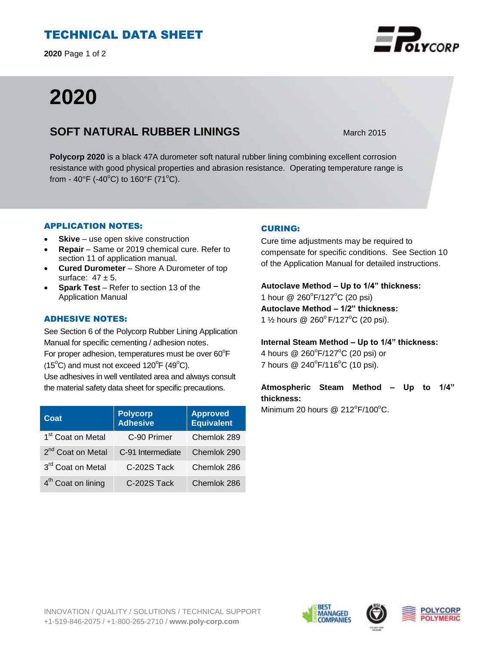# TECHNICAL DATA SHEET

**2020** Page 1 of 2

# **2020**

### **SOFT NATURAL RUBBER LININGS** March 2015

**Polycorp 2020** is a black 47A durometer soft natural rubber lining combining excellent corrosion resistance with good physical properties and abrasion resistance. Operating temperature range is from - 40°F (-40°C) to 160°F (71°C).

#### APPLICATION NOTES:

- **Skive** use open skive construction
- **Repair**  Same or 2019 chemical cure. Refer to section 11 of application manual.
- **Cured Durometer**  Shore A Durometer of top surface:  $47 \pm 5$ .
- **Spark Test**  Refer to section 13 of the Application Manual

#### ADHESIVE NOTES:

See Section 6 of the Polycorp Rubber Lining Application Manual for specific cementing / adhesion notes. For proper adhesion, temperatures must be over  $60^{\circ}$ F  $(15^{\circ}C)$  and must not exceed  $120^{\circ}F(49^{\circ}C)$ . Use adhesives in well ventilated area and always consult the material safety data sheet for specific precautions.

| Coat                           | <b>Polycorp</b><br>Adhesive | <b>Approved</b><br><b>Equivalent</b> |
|--------------------------------|-----------------------------|--------------------------------------|
| 1 <sup>st</sup> Coat on Metal  | C-90 Primer                 | Chemlok 289                          |
| 2 <sup>nd</sup> Coat on Metal  | C-91 Intermediate           | Chemlok 290                          |
| 3rd Coat on Metal              | C-202S Tack                 | Chemlok 286                          |
| 4 <sup>th</sup> Coat on lining | C-202S Tack                 | Chemlok 286                          |

#### CURING:

Cure time adjustments may be required to compensate for specific conditions. See Section 10 of the Application Manual for detailed instructions.

**Autoclave Method – Up to 1/4" thickness:**  1 hour @ 260°F/127°C (20 psi) **Autoclave Method – 1/2" thickness:**  1  $\frac{1}{2}$  hours @ 260°F/127°C (20 psi).

**Internal Steam Method – Up to 1/4" thickness:**

4 hours @ 260°F/127°C (20 psi) or 7 hours  $@ 240^{\circ}F/116^{\circ}C (10 \text{ psi}).$ 

**Atmospheric Steam Method – Up to 1/4" thickness:**

Minimum 20 hours @  $212^{\circ}F/100^{\circ}C$ .